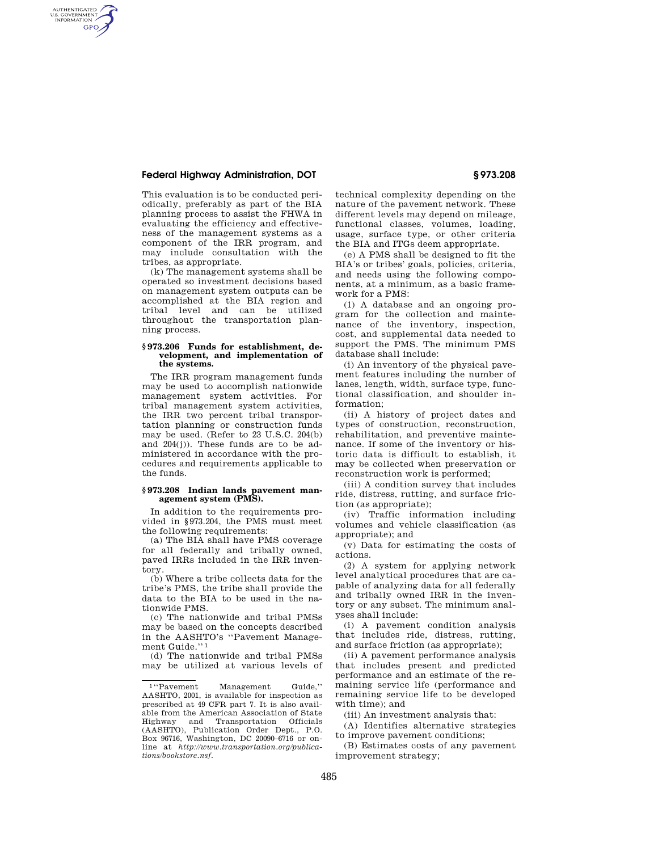# **Federal Highway Administration, DOT § 973.208**

AUTHENTICATED<br>U.S. GOVERNMENT<br>INFORMATION **GPO** 

> This evaluation is to be conducted periodically, preferably as part of the BIA planning process to assist the FHWA in evaluating the efficiency and effectiveness of the management systems as a component of the IRR program, and may include consultation with the tribes, as appropriate.

> (k) The management systems shall be operated so investment decisions based on management system outputs can be accomplished at the BIA region and tribal level and can be utilized throughout the transportation planning process.

### **§ 973.206 Funds for establishment, development, and implementation of the systems.**

The IRR program management funds may be used to accomplish nationwide management system activities. For tribal management system activities, the IRR two percent tribal transportation planning or construction funds may be used. (Refer to 23 U.S.C. 204(b) and 204(j)). These funds are to be administered in accordance with the procedures and requirements applicable to the funds.

## **§ 973.208 Indian lands pavement management system (PMS).**

In addition to the requirements provided in §973.204, the PMS must meet the following requirements:

(a) The BIA shall have PMS coverage for all federally and tribally owned, paved IRRs included in the IRR inventory.

(b) Where a tribe collects data for the tribe's PMS, the tribe shall provide the data to the BIA to be used in the nationwide PMS.

(c) The nationwide and tribal PMSs may be based on the concepts described in the AASHTO's ''Pavement Management Guide.'' 1

(d) The nationwide and tribal PMSs may be utilized at various levels of

technical complexity depending on the nature of the pavement network. These different levels may depend on mileage, functional classes, volumes, loading, usage, surface type, or other criteria the BIA and ITGs deem appropriate.

(e) A PMS shall be designed to fit the BIA's or tribes' goals, policies, criteria, and needs using the following components, at a minimum, as a basic framework for a PMS:

(1) A database and an ongoing program for the collection and maintenance of the inventory, inspection, cost, and supplemental data needed to support the PMS. The minimum PMS database shall include:

(i) An inventory of the physical pavement features including the number of lanes, length, width, surface type, functional classification, and shoulder information;

(ii) A history of project dates and types of construction, reconstruction, rehabilitation, and preventive maintenance. If some of the inventory or historic data is difficult to establish, it may be collected when preservation or reconstruction work is performed;

(iii) A condition survey that includes ride, distress, rutting, and surface friction (as appropriate);

(iv) Traffic information including volumes and vehicle classification (as appropriate); and

(v) Data for estimating the costs of actions.

(2) A system for applying network level analytical procedures that are capable of analyzing data for all federally and tribally owned IRR in the inventory or any subset. The minimum analyses shall include:

(i) A pavement condition analysis that includes ride, distress, rutting, and surface friction (as appropriate);

(ii) A pavement performance analysis that includes present and predicted performance and an estimate of the remaining service life (performance and remaining service life to be developed with time); and

(iii) An investment analysis that:

(A) Identifies alternative strategies to improve pavement conditions;

(B) Estimates costs of any pavement improvement strategy;

<sup>1</sup> ''Pavement Management Guide,'' AASHTO, 2001, is available for inspection as prescribed at 49 CFR part 7. It is also available from the American Association of State Highway and Transportation Officials (AASHTO), Publication Order Dept., P.O. Box 96716, Washington, DC 20090–6716 or online at *http://www.transportation.org/publications/bookstore.nsf.*